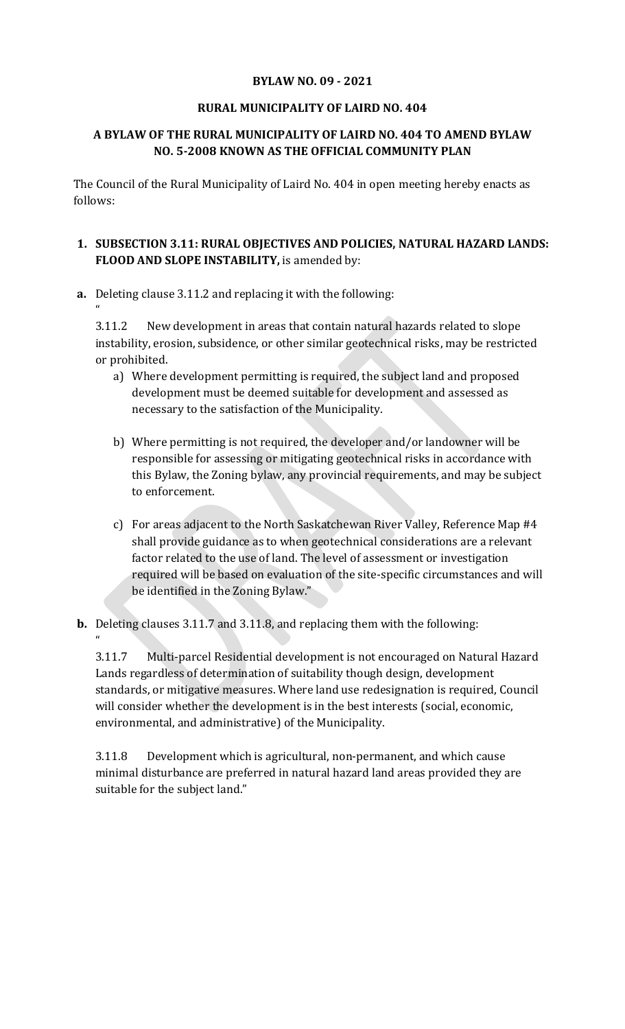### **BYLAW NO. 09 - 2021**

### **RURAL MUNICIPALITY OF LAIRD NO. 404**

# **A BYLAW OF THE RURAL MUNICIPALITY OF LAIRD NO. 404 TO AMEND BYLAW NO. 5-2008 KNOWN AS THE OFFICIAL COMMUNITY PLAN**

The Council of the Rural Municipality of Laird No. 404 in open meeting hereby enacts as follows:

### **1. SUBSECTION 3.11: RURAL OBJECTIVES AND POLICIES, NATURAL HAZARD LANDS: FLOOD AND SLOPE INSTABILITY,** is amended by:

**a.** Deleting clause 3.11.2 and replacing it with the following:

 $\mathbf{a}$ 

 $\mathbf{a}$ 

3.11.2 New development in areas that contain natural hazards related to slope instability, erosion, subsidence, or other similar geotechnical risks, may be restricted or prohibited.

- a) Where development permitting is required, the subject land and proposed development must be deemed suitable for development and assessed as necessary to the satisfaction of the Municipality.
- b) Where permitting is not required, the developer and/or landowner will be responsible for assessing or mitigating geotechnical risks in accordance with this Bylaw, the Zoning bylaw, any provincial requirements, and may be subject to enforcement.
- c) For areas adjacent to the North Saskatchewan River Valley, Reference Map #4 shall provide guidance as to when geotechnical considerations are a relevant factor related to the use of land. The level of assessment or investigation required will be based on evaluation of the site-specific circumstances and will be identified in the Zoning Bylaw."
- **b.** Deleting clauses 3.11.7 and 3.11.8, and replacing them with the following:

3.11.7 Multi-parcel Residential development is not encouraged on Natural Hazard Lands regardless of determination of suitability though design, development standards, or mitigative measures. Where land use redesignation is required, Council will consider whether the development is in the best interests (social, economic, environmental, and administrative) of the Municipality.

3.11.8 Development which is agricultural, non-permanent, and which cause minimal disturbance are preferred in natural hazard land areas provided they are suitable for the subject land."